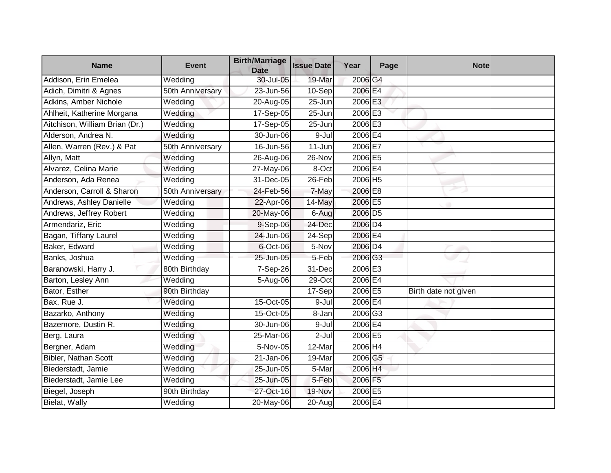| <b>Name</b>                    | <b>Event</b>     | <b>Birth/Marriage</b><br><b>Date</b> | <b>Issue Date</b>    | Year                | Page | <b>Note</b>          |
|--------------------------------|------------------|--------------------------------------|----------------------|---------------------|------|----------------------|
| Addison, Erin Emelea           | Wedding          | 30-Jul-05                            | 19-Mar               | 2006 G4             |      |                      |
| Adich, Dimitri & Agnes         | 50th Anniversary | 23-Jun-56                            | 10-Sep               | 2006 E4             |      |                      |
| Adkins, Amber Nichole          | Wedding          | 20-Aug-05                            | $25 - Jun$           | 2006 E3             |      |                      |
| Ahlheit, Katherine Morgana     | Wedding          | 17-Sep-05                            | 25-Jun               | 2006 E3             |      |                      |
| Aitchison, William Brian (Dr.) | Wedding          | 17-Sep-05                            | 25-Jun               | 2006 E3             |      |                      |
| Alderson, Andrea N.            | Wedding          | 30-Jun-06                            | 9-Jul                | 2006 E4             |      |                      |
| Allen, Warren (Rev.) & Pat     | 50th Anniversary | 16-Jun-56                            | $\overline{11}$ -Jun | 2006 E7             |      |                      |
| Allyn, Matt                    | Wedding          | 26-Aug-06                            | 26-Nov               | 2006 E5             |      |                      |
| Alvarez, Celina Marie          | Wedding          | 27-May-06                            | 8-Oct                | 2006 E4             |      |                      |
| Anderson, Ada Renea            | Wedding          | 31-Dec-05                            | 26-Feb               | 2006 H5             |      |                      |
| Anderson, Carroll & Sharon     | 50th Anniversary | $24$ -Feb-56                         | 7-May                | 2006 E8             |      |                      |
| Andrews, Ashley Danielle       | Wedding          | 22-Apr-06                            | 14-May               | 2006 E5             |      |                      |
| Andrews, Jeffrey Robert        | Wedding          | 20-May-06                            | 6-Aug                | 2006 D <sub>5</sub> |      |                      |
| Armendariz, Eric               | Wedding          | $9-Sep-06$                           | 24-Dec               | 2006 D <sub>4</sub> |      |                      |
| Bagan, Tiffany Laurel          | Wedding          | 24-Jun-06                            | $\overline{2}$ 4-Sep | 2006 E4             |      |                      |
| Baker, Edward                  | Wedding          | 6-Oct-06                             | 5-Nov                | 2006 D4             |      |                      |
| Banks, Joshua                  | Wedding          | 25-Jun-05                            | 5-Feb                | 2006 G3             |      |                      |
| Baranowski, Harry J.           | 80th Birthday    | 7-Sep-26                             | 31-Dec               | 2006 E3             |      |                      |
| Barton, Lesley Ann             | Wedding          | 5-Aug-06                             | $29$ -Oct            | 2006 E4             |      |                      |
| Bator, Esther                  | 90th Birthday    |                                      | $17-Sep$             | 2006 E5             |      | Birth date not given |
| Bax, Rue J.                    | Wedding          | 15-Oct-05                            | 9-Jul                | 2006E4              |      |                      |
| Bazarko, Anthony               | Wedding          | 15-Oct-05                            | 8-Jan                | 2006 G3             |      |                      |
| Bazemore, Dustin R.            | Wedding          | 30-Jun-06                            | 9-Jul                | 2006 E4             |      |                      |
| Berg, Laura                    | Wedding          | 25-Mar-06                            | $2-Jul$              | 2006 E5             |      |                      |
| Bergner, Adam                  | Wedding          | 5-Nov-05                             | 12-Mar               | 2006 H4             |      |                      |
| Bibler, Nathan Scott           | Wedding          | 21-Jan-06                            | 19-Mar               | 2006 G5             |      |                      |
| Biederstadt, Jamie             | Wedding          | 25-Jun-05                            | 5-Mar                | 2006 H4             |      |                      |
| Biederstadt, Jamie Lee         | Wedding          | 25-Jun-05                            | 5-Feb                | 2006 F5             |      |                      |
| Biegel, Joseph                 | 90th Birthday    | 27-Oct-16                            | 19-Nov               | 2006 E5             |      |                      |
| Bielat, Wally                  | Wedding          | 20-May-06                            | 20-Aug               | 2006 E4             |      |                      |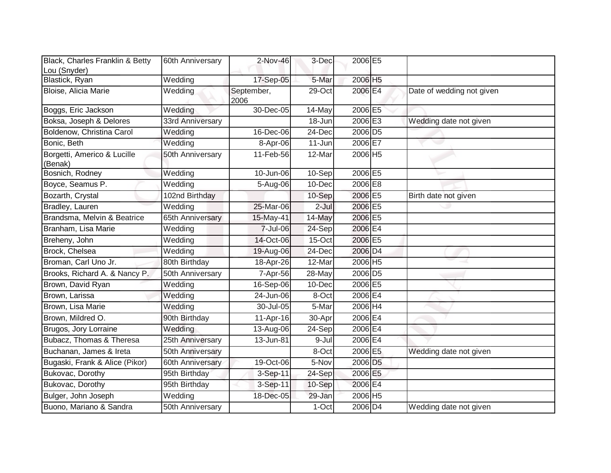| Black, Charles Franklin & Betty        | 60th Anniversary | 2-Nov-46           | 3-Dec     | 2006 E5                     |                           |
|----------------------------------------|------------------|--------------------|-----------|-----------------------------|---------------------------|
| Lou (Snyder)                           |                  |                    |           |                             |                           |
| Blastick, Ryan                         | Wedding          | 17-Sep-05          | 5-Mar     | 2006 H5                     |                           |
| Bloise, Alicia Marie                   | Wedding          | September,<br>2006 | $29$ -Oct | 2006 E4                     | Date of wedding not given |
| Boggs, Eric Jackson                    | Wedding          | $30 - Dec -05$     | 14-May    | 2006 E5                     |                           |
| Boksa, Joseph & Delores                | 33rd Anniversary |                    | 18-Jun    | 2006 E3                     | Wedding date not given    |
| Boldenow, Christina Carol              | Wedding          | 16-Dec-06          | 24-Dec    | 2006 D <sub>5</sub>         |                           |
| Bonic, Beth                            | Wedding          | 8-Apr-06           | 11-Jun    | 2006 E7                     |                           |
| Borgetti, Americo & Lucille<br>(Benak) | 50th Anniversary | 11-Feb-56          | 12-Mar    | 2006 H5                     |                           |
| Bosnich, Rodney                        | Wedding          | 10-Jun-06          | 10-Sep    | 2006 E5                     |                           |
| Boyce, Seamus P.                       | Wedding          | 5-Aug-06           | 10-Dec    | 2006 E8                     |                           |
| Bozarth, Crystal                       | 102nd Birthday   |                    | 10-Sep    | 2006 E5                     | Birth date not given      |
| Bradley, Lauren                        | Wedding          | 25-Mar-06          | $2-Jul$   | 2006 E5                     |                           |
| Brandsma, Melvin & Beatrice            | 65th Anniversary | 15-May-41          | 14-May    | 2006 E5                     |                           |
| Branham, Lisa Marie                    | Wedding          | 7-Jul-06           | 24-Sep    | 2006 E4                     |                           |
| Breheny, John                          | Wedding          | 14-Oct-06          | 15-Oct    | 2006 E5                     |                           |
| Brock, Chelsea                         | Wedding          | 19-Aug-06          | 24-Dec    | 2006 D4                     |                           |
| Broman, Carl Uno Jr.                   | 80th Birthday    | 18-Apr-26          | 12-Mar    | 2006 H5                     |                           |
| Brooks, Richard A. & Nancy P.          | 50th Anniversary | 7-Apr-56           | 28-May    | 2006 D <sub>5</sub>         |                           |
| Brown, David Ryan                      | Wedding          | 16-Sep-06          | 10-Dec    | 2006 E5                     |                           |
| Brown, Larissa                         | Wedding          | 24-Jun-06          | 8-Oct     | 2006 E4                     |                           |
| Brown, Lisa Marie                      | Wedding          | 30-Jul-05          | 5-Mar     | $2006 \overline{\text{H}4}$ |                           |
| Brown, Mildred O.                      | 90th Birthday    | 11-Apr-16          | 30-Apr    | 2006 E4                     |                           |
| Brugos, Jory Lorraine                  | Wedding          | 13-Aug-06          | 24-Sep    | 2006 E4                     |                           |
| Bubacz, Thomas & Theresa               | 25th Anniversary | 13-Jun-81          | 9-Jul     | $2006$ E4                   |                           |
| Buchanan, James & Ireta                | 50th Anniversary |                    | 8-Oct     | 2006 E5                     | Wedding date not given    |
| Bugaski, Frank & Alice (Pikor)         | 60th Anniversary | 19-Oct-06          | 5-Nov     | 2006 D <sub>5</sub>         |                           |
| Bukovac, Dorothy                       | 95th Birthday    | 3-Sep-11           | 24-Sep    | 2006 E5                     |                           |
| Bukovac, Dorothy                       | 95th Birthday    | 3-Sep-11           | 10-Sep    | 2006 E4                     |                           |
| Bulger, John Joseph                    | Wedding          | 18-Dec-05          | 29-Jan    | 2006 H5                     |                           |
| Buono, Mariano & Sandra                | 50th Anniversary |                    | 1-Oct     | 2006 D4                     | Wedding date not given    |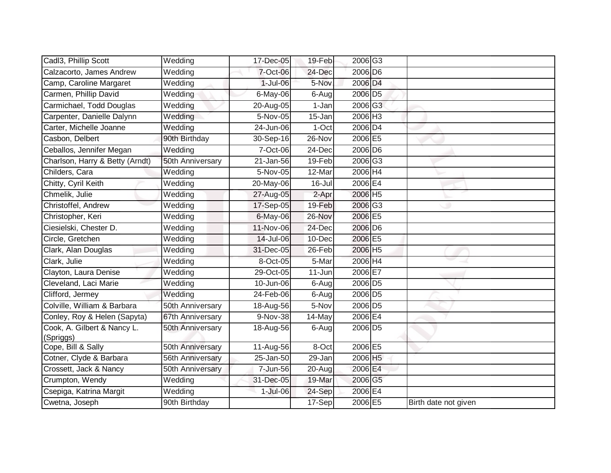| Cadl3, Phillip Scott                     | Wedding          | 17-Dec-05  | 19-Feb    | 2006 G3             |                      |
|------------------------------------------|------------------|------------|-----------|---------------------|----------------------|
| Calzacorto, James Andrew                 | Wedding          | 7-Oct-06   | 24-Dec    | 2006 D6             |                      |
| Camp, Caroline Margaret                  | Wedding          | 1-Jul-06   | 5-Nov     | 2006 D <sub>4</sub> |                      |
| Carmen, Phillip David                    | Wedding          | 6-May-06   | 6-Aug     | 2006 D5             |                      |
| Carmichael, Todd Douglas                 | Wedding          | 20-Aug-05  | 1-Jan     | 2006 G3             |                      |
| Carpenter, Danielle Dalynn               | Wedding          | 5-Nov-05   | 15-Jan    | 2006 H3             |                      |
| Carter, Michelle Joanne                  | Wedding          | 24-Jun-06  | 1-Oct     | 2006 D4             |                      |
| Casbon, Delbert                          | 90th Birthday    | 30-Sep-16  | 26-Nov    | 2006 E5             |                      |
| Ceballos, Jennifer Megan                 | Wedding          | 7-Oct-06   | 24-Dec    | 2006 D6             |                      |
| Charlson, Harry & Betty (Arndt)          | 50th Anniversary | 21-Jan-56  | $19-Feb$  | 2006 G3             |                      |
| Childers, Cara                           | Wedding          | 5-Nov-05   | 12-Mar    | 2006 H4             |                      |
| Chitty, Cyril Keith                      | Wedding          | 20-May-06  | $16$ -Jul | 2006 E4             |                      |
| Chmelik, Julie                           | Wedding          | 27-Aug-05  | 2-Apr     | 2006 H5             |                      |
| Christoffel, Andrew                      | Wedding          | 17-Sep-05  | 19-Feb    | 2006 G3             |                      |
| Christopher, Keri                        | Wedding          | 6-May-06   | 26-Nov    | 2006 E5             |                      |
| Ciesielski, Chester D.                   | Wedding          | 11-Nov-06  | 24-Dec    | 2006 D6             |                      |
| Circle, Gretchen                         | Wedding          | 14-Jul-06  | 10-Dec    | 2006 E5             |                      |
| Clark, Alan Douglas                      | Wedding          | 31-Dec-05  | 26-Feb    | 2006 H5             |                      |
| Clark, Julie                             | Wedding          | 8-Oct-05   | 5-Mar     | 2006 H4             |                      |
| Clayton, Laura Denise                    | Wedding          | 29-Oct-05  | 11-Jun    | 2006 E7             |                      |
| Cleveland, Laci Marie                    | Wedding          | 10-Jun-06  | 6-Aug     | 2006 D5             |                      |
| Clifford, Jermey                         | Wedding          | 24-Feb-06  | $6-Aug$   | 2006 D <sub>5</sub> |                      |
| Colville, William & Barbara              | 50th Anniversary | 18-Aug-56  | 5-Nov     | 2006 D5             |                      |
| Conley, Roy & Helen (Sapyta)             | 67th Anniversary | 9-Nov-38   | 14-May    | 2006 E4             |                      |
| Cook, A. Gilbert & Nancy L.<br>(Spriggs) | 50th Anniversary | 18-Aug-56  | 6-Augl    | 2006 D <sub>5</sub> |                      |
| Cope, Bill & Sally                       | 50th Anniversary | 11-Aug-56  | 8-Oct     | 2006 E5             |                      |
| Cotner, Clyde & Barbara                  | 56th Anniversary | 25-Jan-50  | 29-Jan    | 2006 H5             |                      |
| Crossett, Jack & Nancy                   | 50th Anniversary | 7-Jun-56   | 20-Aug    | 2006 E4             |                      |
| Crumpton, Wendy                          | Wedding          | 31-Dec-05  | 19-Mar    | 2006 G5             |                      |
| Csepiga, Katrina Margit                  | Wedding          | $1-Jul-06$ | 24-Sep    | 2006 E4             |                      |
| Cwetna, Joseph                           | 90th Birthday    |            | $17-Sep$  | 2006 E5             | Birth date not given |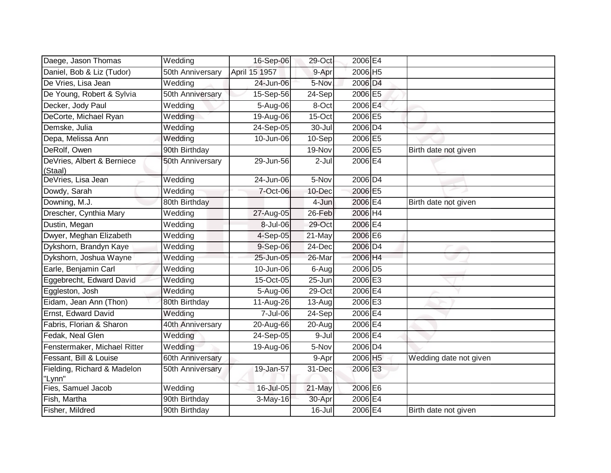| Daege, Jason Thomas                   | Wedding          | 16-Sep-06               | $29$ -Oct            | 2006 E4             |                        |
|---------------------------------------|------------------|-------------------------|----------------------|---------------------|------------------------|
| Daniel, Bob & Liz (Tudor)             | 50th Anniversary | April 15 1957           | 9-Apr                | 2006 H5             |                        |
| De Vries, Lisa Jean                   | Wedding          | 24-Jun-06               | 5-Nov                | 2006 D4             |                        |
| De Young, Robert & Sylvia             | 50th Anniversary | 15-Sep-56               | 24-Sep               | 2006 E5             |                        |
| Decker, Jody Paul                     | Wedding          | 5-Aug-06                | 8-Oct                | 2006 E4             |                        |
| DeCorte, Michael Ryan                 | Wedding          | 19-Aug-06               | 15-Oct               | 2006 E5             |                        |
| Demske, Julia                         | Wedding          | 24-Sep-05               | 30-Jul               | 2006 D4             |                        |
| Depa, Melissa Ann                     | Wedding          | 10-Jun-06               | 10-Sep               | 2006 E5             |                        |
| DeRolf, Owen                          | 90th Birthday    |                         | 19-Nov               | 2006 E5             | Birth date not given   |
| DeVries, Albert & Berniece<br>(Staal) | 50th Anniversary | 29-Jun-56               | 2-Jul                | 2006 E4             |                        |
| DeVries, Lisa Jean                    | Wedding          | $\overline{24}$ -Jun-06 | 5-Nov                | 2006 D4             |                        |
| Dowdy, Sarah                          | Wedding          | 7-Oct-06                | 10-Dec               | 2006 E5             |                        |
| Downing, M.J.                         | 80th Birthday    |                         | 4-Jun                | 2006 E4             | Birth date not given   |
| Drescher, Cynthia Mary                | Wedding          | 27-Aug-05               | 26-Feb               | 2006 H4             |                        |
| Dustin, Megan                         | Wedding          | 8-Jul-06                | 29-Oct               | 2006 E4             |                        |
| Dwyer, Meghan Elizabeth               | Wedding          | 4-Sep-05                | 21-May               | 2006 E6             |                        |
| Dykshorn, Brandyn Kaye                | Wedding          | 9-Sep-06                | 24-Dec               | 2006 D <sub>4</sub> |                        |
| Dykshorn, Joshua Wayne                | Wedding          | 25-Jun-05               | 26-Mar               | 2006 H4             |                        |
| Earle, Benjamin Carl                  | Wedding          | 10-Jun-06               | 6-Aug                | 2006 D5             |                        |
| Eggebrecht, Edward David              | Wedding          | 15-Oct-05               | $25 - Jun$           | 2006 E3             |                        |
| Eggleston, Josh                       | Wedding          | 5-Aug-06                | 29-Oct               | 2006 E4             |                        |
| Eidam, Jean Ann (Thon)                | 80th Birthday    | 11-Aug-26               | 13-Aug               | 2006 E3             |                        |
| Ernst, Edward David                   | Wedding          | 7-Jul-06                | $\overline{2}$ 4-Sep | 2006 E4             |                        |
| Fabris, Florian & Sharon              | 40th Anniversary | 20-Aug-66               | 20-Aug               | 2006 E4             |                        |
| Fedak, Neal Glen                      | Wedding          | 24-Sep-05               | $9 -$ Jul            | 2006 E4             |                        |
| Fenstermaker, Michael Ritter          | Wedding          | 19-Aug-06               | 5-Nov                | 2006 D4             |                        |
| Fessant, Bill & Louise                | 60th Anniversary |                         | 9-Apr                | 2006 H5             | Wedding date not given |
| Fielding, Richard & Madelon<br>"Lynn" | 50th Anniversary | 19-Jan-57               | 31-Dec               | 2006 E3             |                        |
| Fies, Samuel Jacob                    | Wedding          | 16-Jul-05               | 21-May               | 2006 E6             |                        |
| Fish, Martha                          | 90th Birthday    | 3-May-16                | 30-Apr               | 2006 E4             |                        |
| Fisher, Mildred                       | 90th Birthday    |                         | 16-Jul               | 2006 E4             | Birth date not given   |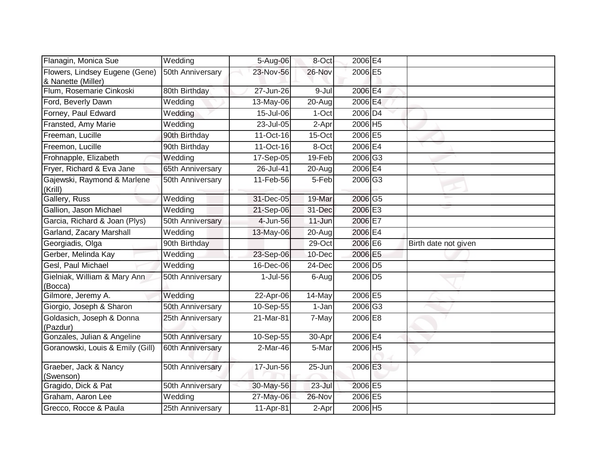| Flanagin, Monica Sue                                 | Wedding          | 5-Aug-06  | 8-Oct    | 2006 E4             |                      |
|------------------------------------------------------|------------------|-----------|----------|---------------------|----------------------|
| Flowers, Lindsey Eugene (Gene)<br>& Nanette (Miller) | 50th Anniversary | 23-Nov-56 | 26-Nov   | 2006 E5             |                      |
| Flum, Rosemarie Cinkoski                             | 80th Birthday    | 27-Jun-26 | 9-Jul    | 2006 E4             |                      |
| Ford, Beverly Dawn                                   | Wedding          | 13-May-06 | 20-Aug   | 2006 E4             |                      |
| Forney, Paul Edward                                  | Wedding          | 15-Jul-06 | 1-Oct    | 2006 D4             |                      |
| Fransted, Amy Marie                                  | Wedding          | 23-Jul-05 | 2-Apr    | 2006 H5             |                      |
| Freeman, Lucille                                     | 90th Birthday    | 11-Oct-16 | 15-Oct   | 2006 E5             |                      |
| Freemon, Lucille                                     | 90th Birthday    | 11-Oct-16 | 8-Oct    | 2006 <b>E4</b>      |                      |
| Frohnapple, Elizabeth                                | Wedding          | 17-Sep-05 | 19-Feb   | 2006 G3             |                      |
| Fryer, Richard & Eva Jane                            | 65th Anniversary | 26-Jul-41 | $20-Aug$ | 2006 E4             |                      |
| Gajewski, Raymond & Marlene<br>(Krill)               | 50th Anniversary | 11-Feb-56 | 5-Feb    | 2006 G3             |                      |
| Gallery, Russ                                        | Wedding          | 31-Dec-05 | 19-Mar   | 2006 G5             |                      |
| Gallion, Jason Michael                               | Wedding          | 21-Sep-06 | 31-Dec   | 2006 E3             |                      |
| Garcia, Richard & Joan (Plys)                        | 50th Anniversary | 4-Jun-56  | 11-Jun   | 2006 E7             |                      |
| Garland, Zacary Marshall                             | Wedding          | 13-May-06 | 20-Aug   | 2006 E4             |                      |
| Georgiadis, Olga                                     | 90th Birthday    |           | 29-Oct   | 2006 E6             | Birth date not given |
| Gerber, Melinda Kay                                  | Wedding          | 23-Sep-06 | 10-Dec   | 2006 E5             |                      |
| Gesl, Paul Michael                                   | Wedding          | 16-Dec-06 | 24-Dec   | 2006 D <sub>5</sub> |                      |
| Gielniak, William & Mary Ann<br>(Bocca)              | 50th Anniversary | 1-Jul-56  | 6-Aug    | 2006 D5             |                      |
| Gilmore, Jeremy A.                                   | Wedding          | 22-Apr-06 | 14-May   | 2006 E5             |                      |
| Giorgio, Joseph & Sharon                             | 50th Anniversary | 10-Sep-55 | 1-Jan    | 2006 G3             |                      |
| Goldasich, Joseph & Donna<br>(Pazdur)                | 25th Anniversary | 21-Mar-81 | 7-May    | 2006 E8             |                      |
| Gonzales, Julian & Angeline                          | 50th Anniversary | 10-Sep-55 | 30-Apr   | 2006 E4             |                      |
| Goranowski, Louis & Emily (Gill)                     | 60th Anniversary | 2-Mar-46  | 5-Mar    | 2006 H5             |                      |
| Graeber, Jack & Nancy<br>(Swenson)                   | 50th Anniversary | 17-Jun-56 | 25-Jun   | 2006 E3             |                      |
| Gragido, Dick & Pat                                  | 50th Anniversary | 30-May-56 | 23-Jul   | 2006 E5             |                      |
| Graham, Aaron Lee                                    | Wedding          | 27-May-06 | 26-Nov   | 2006 E5             |                      |
| Grecco, Rocce & Paula                                | 25th Anniversary | 11-Apr-81 | 2-Apr    | 2006 H5             |                      |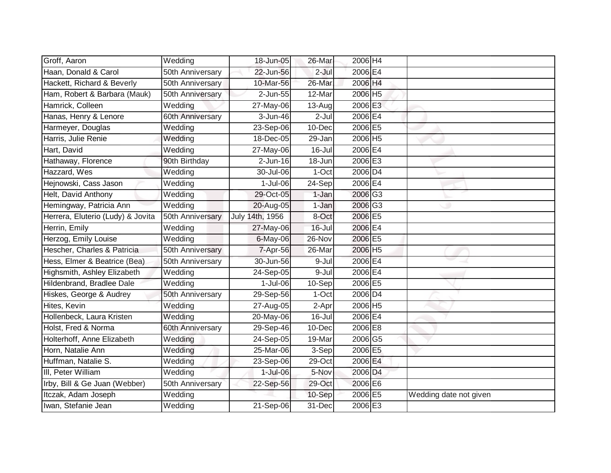| Groff, Aaron                      | Wedding          | 18-Jun-05       | 26-Mar     | 2006 H4             |                        |
|-----------------------------------|------------------|-----------------|------------|---------------------|------------------------|
| Haan, Donald & Carol              | 50th Anniversary | 22-Jun-56       | 2-Jul      | 2006 E4             |                        |
| Hackett, Richard & Beverly        | 50th Anniversary | 10-Mar-56       | 26-Mar     | 2006 H4             |                        |
| Ham, Robert & Barbara (Mauk)      | 50th Anniversary | 2-Jun-55        | 12-Mar     | 2006 H5             |                        |
| Hamrick, Colleen                  | Wedding          | 27-May-06       | 13-Aug     | 2006 E3             |                        |
| Hanas, Henry & Lenore             | 60th Anniversary | 3-Jun-46        | $2-Jul$    | 2006 E4             |                        |
| Harmeyer, Douglas                 | Wedding          | 23-Sep-06       | 10-Dec     | 2006 E5             |                        |
| Harris, Julie Renie               | Wedding          | 18-Dec-05       | 29-Jan     | 2006 H5             |                        |
| Hart, David                       | Wedding          | 27-May-06       | 16-Jul     | 2006 E4             |                        |
| Hathaway, Florence                | 90th Birthday    | $2$ -Jun-16     | 18-Jun     | 2006 E3             |                        |
| Hazzard, Wes                      | Wedding          | 30-Jul-06       | 1-Oct      | 2006 D4             |                        |
| Hejnowski, Cass Jason             | Wedding          | $1-Jul-06$      | 24-Sep     | 2006 E4             |                        |
| Helt, David Anthony               | Wedding          | 29-Oct-05       | 1-Jan      | 2006 G3             |                        |
| Hemingway, Patricia Ann           | Wedding          | 20-Aug-05       | 1-Jan      | 2006 G3             |                        |
| Herrera, Eluterio (Ludy) & Jovita | 50th Anniversary | July 14th, 1956 | 8-Oct      | 2006 E5             |                        |
| Herrin, Emily                     | Wedding          | 27-May-06       | $16 -$ Jul | 2006 E4             |                        |
| Herzog, Emily Louise              | Wedding          | 6-May-06        | 26-Nov     | 2006 E5             |                        |
| Hescher, Charles & Patricia       | 50th Anniversary | 7-Apr-56        | 26-Mar     | 2006 H5             |                        |
| Hess, Elmer & Beatrice (Bea)      | 50th Anniversary | 30-Jun-56       | 9-Jul      | 2006 E4             |                        |
| Highsmith, Ashley Elizabeth       | Wedding          | 24-Sep-05       | 9-Jul      | 2006 E4             |                        |
| Hildenbrand, Bradlee Dale         | Wedding          | $1$ -Jul-06     | 10-Sep     | 2006 E5             |                        |
| Hiskes, George & Audrey           | 50th Anniversary | 29-Sep-56       | 1-Oct      | 2006 D <sub>4</sub> |                        |
| Hites, Kevin                      | Wedding          | 27-Aug-05       | 2-Apr      | 2006 H5             |                        |
| Hollenbeck, Laura Kristen         | Wedding          | 20-May-06       | $16 -$ Jul | 2006 E4             |                        |
| Holst, Fred & Norma               | 60th Anniversary | 29-Sep-46       | 10-Dec     | 2006 E8             |                        |
| Holterhoff, Anne Elizabeth        | Wedding          | 24-Sep-05       | 19-Mar     | 2006 G5             |                        |
| Horn, Natalie Ann                 | Wedding          | 25-Mar-06       | 3-Sep      | 2006 E5             |                        |
| Huffman, Natalie S.               | Wedding          | 23-Sep-06       | 29-Oct     | 2006 E4             |                        |
| III, Peter William                | Wedding          | 1-Jul-06        | 5-Nov      | 2006 D4             |                        |
| Irby, Bill & Ge Juan (Webber)     | 50th Anniversary | 22-Sep-56       | 29-Oct     | 2006 E6             |                        |
| Itczak, Adam Joseph               | Wedding          |                 | 10-Sep     | 2006 E5             | Wedding date not given |
| Iwan, Stefanie Jean               | Wedding          | 21-Sep-06       | 31-Dec     | 2006 E3             |                        |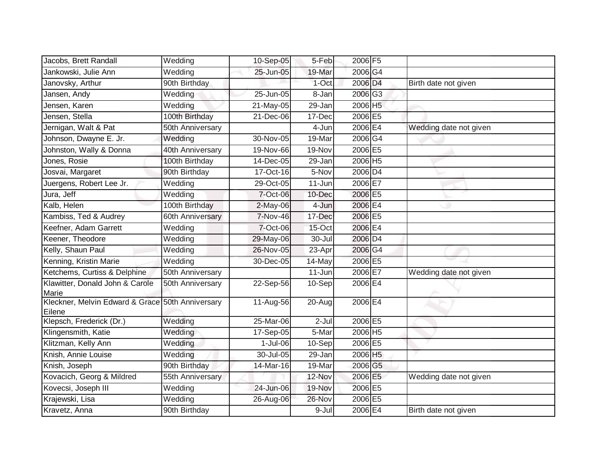| Jacobs, Brett Randall                                      | Wedding          | 10-Sep-05   | 5-Feb    | 2006 F5 |                        |
|------------------------------------------------------------|------------------|-------------|----------|---------|------------------------|
| Jankowski, Julie Ann                                       | Wedding          | 25-Jun-05   | 19-Mar   | 2006 G4 |                        |
| Janovsky, Arthur                                           | 90th Birthday    |             | 1-Oct    | 2006 D4 | Birth date not given   |
| Jansen, Andy                                               | Wedding          | 25-Jun-05   | 8-Jan    | 2006 G3 |                        |
| Jensen, Karen                                              | Wedding          | 21-May-05   | 29-Jan   | 2006 H5 |                        |
| Jensen, Stella                                             | 100th Birthday   | 21-Dec-06   | 17-Dec   | 2006 E5 |                        |
| Jernigan, Walt & Pat                                       | 50th Anniversary |             | 4-Jun    | 2006 E4 | Wedding date not given |
| Johnson, Dwayne E. Jr.                                     | Wedding          | 30-Nov-05   | 19-Mar   | 2006 G4 |                        |
| Johnston, Wally & Donna                                    | 40th Anniversary | 19-Nov-66   | 19-Nov   | 2006 E5 |                        |
| Jones, Rosie                                               | 100th Birthday   | 14-Dec-05   | 29-Jan   | 2006 H5 |                        |
| Josvai, Margaret                                           | 90th Birthday    | 17-Oct-16   | 5-Nov    | 2006 D4 |                        |
| Juergens, Robert Lee Jr.                                   | Wedding          | 29-Oct-05   | 11-Jun   | 2006 E7 |                        |
| Jura, Jeff                                                 | Wedding          | 7-Oct-06    | 10-Dec   | 2006 E5 |                        |
| Kalb, Helen                                                | 100th Birthday   | 2-May-06    | 4-Jun    | 2006 E4 |                        |
| Kambiss, Ted & Audrey                                      | 60th Anniversary | 7-Nov-46    | 17-Dec   | 2006 E5 |                        |
| Keefner, Adam Garrett                                      | Wedding          | 7-Oct-06    | $15-Oct$ | 2006 E4 |                        |
| Keener, Theodore                                           | Wedding          | 29-May-06   | 30-Jul   | 2006 D4 |                        |
| Kelly, Shaun Paul                                          | Wedding          | 26-Nov-05   | 23-Apr   | 2006 G4 |                        |
| Kenning, Kristin Marie                                     | Wedding          | 30-Dec-05   | 14-May   | 2006 E5 |                        |
| Ketchems, Curtiss & Delphine                               | 50th Anniversary |             | 11-Jun   | 2006 E7 | Wedding date not given |
| Klawitter, Donald John & Carole<br>Marie                   | 50th Anniversary | 22-Sep-56   | 10-Sep   | 2006 E4 |                        |
| Kleckner, Melvin Edward & Grace 50th Anniversary<br>Eilene |                  | 11-Aug-56   | 20-Aug   | 2006 E4 |                        |
| Klepsch, Frederick (Dr.)                                   | Wedding          | 25-Mar-06   | $2-Jul$  | 2006 E5 |                        |
| Klingensmith, Katie                                        | Wedding          | 17-Sep-05   | 5-Mar    | 2006 H5 |                        |
| Klitzman, Kelly Ann                                        | Wedding          | $1$ -Jul-06 | 10-Sep   | 2006 E5 |                        |
| Knish, Annie Louise                                        | Wedding          | 30-Jul-05   | 29-Jan   | 2006 H5 |                        |
| Knish, Joseph                                              | 90th Birthday    | 14-Mar-16   | 19-Mar   | 2006 G5 |                        |
| Kovacich, Georg & Mildred                                  | 55th Anniversary |             | 12-Nov   | 2006 E5 | Wedding date not given |
| Kovecsi, Joseph III                                        | Wedding          | 24-Jun-06   | 19-Nov   | 2006 E5 |                        |
| Krajewski, Lisa                                            | Wedding          | 26-Aug-06   | 26-Nov   | 2006 E5 |                        |
| Kravetz, Anna                                              | 90th Birthday    |             | 9-Jul    | 2006 E4 | Birth date not given   |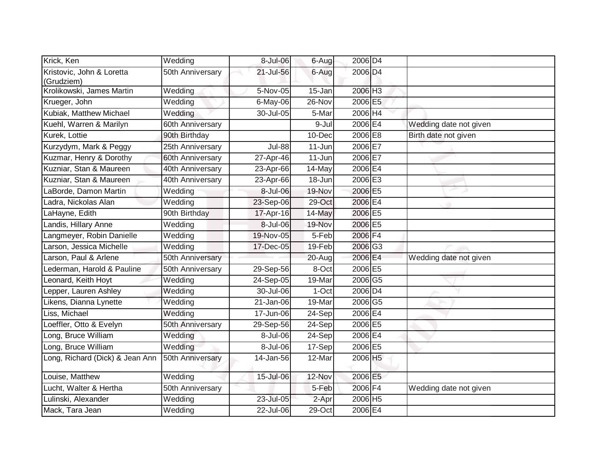| Krick, Ken                              | Wedding          | 8-Jul-06      | 6-Aug      | 2006 D4        |                        |
|-----------------------------------------|------------------|---------------|------------|----------------|------------------------|
| Kristovic, John & Loretta<br>(Grudziem) | 50th Anniversary | 21-Jul-56     | 6-Aug      | 2006 D4        |                        |
| Krolikowski, James Martin               | Wedding          | 5-Nov-05      | $15 - Jan$ | 2006 H3        |                        |
| Krueger, John                           | Wedding          | $6$ -May-06   | 26-Nov     | 2006 E5        |                        |
| Kubiak, Matthew Michael                 | Wedding          | 30-Jul-05     | 5-Mar      | 2006 H4        |                        |
| Kuehl, Warren & Marilyn                 | 60th Anniversary |               | 9-Jul      | 2006E4         | Wedding date not given |
| Kurek, Lottie                           | 90th Birthday    |               | 10-Dec     | 2006 E8        | Birth date not given   |
| Kurzydym, Mark & Peggy                  | 25th Anniversary | <b>Jul-88</b> | 11-Jun     | 2006 E7        |                        |
| Kuzmar, Henry & Dorothy                 | 60th Anniversary | 27-Apr-46     | 11-Jun     | 2006E7         |                        |
| Kuzniar, Stan & Maureen                 | 40th Anniversary | 23-Apr-66     | 14-May     | 2006 E4        |                        |
| Kuzniar, Stan & Maureen                 | 40th Anniversary | 23-Apr-66     | 18-Jun     | 2006 E3        |                        |
| aBorde, Damon Martin                    | Wedding          | 8-Jul-06      | 19-Nov     | 2006 E5        |                        |
| Ladra, Nickolas Alan                    | Wedding          | 23-Sep-06     | 29-Oct     | 2006 E4        |                        |
| LaHayne, Edith                          | 90th Birthday    | 17-Apr-16     | 14-May     | 2006 E5        |                        |
| andis, Hillary Anne                     | Wedding          | 8-Jul-06      | 19-Nov     | 2006 E5        |                        |
| angmeyer, Robin Danielle                | Wedding          | 19-Nov-05     | 5-Feb      | 2006 F4        |                        |
| arson, Jessica Michelle                 | Wedding          | 17-Dec-05     | 19-Feb     | 2006 G3        |                        |
| Larson, Paul & Arlene                   | 50th Anniversary |               | 20-Aug     | 2006 E4        | Wedding date not given |
| ederman, Harold & Pauline               | 50th Anniversary | 29-Sep-56     | 8-Oct      | 2006 E5        |                        |
| eonard, Keith Hoyt                      | Wedding          | $24-$ Sep-05  | 19-Mar     | 2006 G5        |                        |
| epper, Lauren Ashley                    | Wedding          | 30-Jul-06     | $1-Oct$    | 2006 D4        |                        |
| Likens, Dianna Lynette                  | Wedding          | 21-Jan-06     | 19-Mar     | 2006 G5        |                        |
| Liss, Michael                           | Wedding          | 17-Jun-06     | 24-Sep     | 2006E4         |                        |
| oeffler, Otto & Evelyn                  | 50th Anniversary | 29-Sep-56     | 24-Sep     | 2006 E5        |                        |
| ong, Bruce William                      | Wedding          | 8-Jul-06      | 24-Sep     | 2006 <b>E4</b> |                        |
| ong, Bruce William                      | Wedding          | 8-Jul-06      | 17-Sep     | 2006 E5        |                        |
| Long, Richard (Dick) & Jean Ann         | 50th Anniversary | 14-Jan-56     | 12-Mar     | 2006 H5        |                        |
| Louise, Matthew                         | Wedding          | 15-Jul-06     | 12-Nov     | 2006 E5        |                        |
| Lucht, Walter & Hertha                  | 50th Anniversary |               | 5-Feb      | 2006 F4        | Wedding date not given |
| Lulinski, Alexander                     | Wedding          | 23-Jul-05     | 2-Apr      | 2006 H5        |                        |
| Mack, Tara Jean                         | Wedding          | 22-Jul-06     | 29-Oct     | 2006 E4        |                        |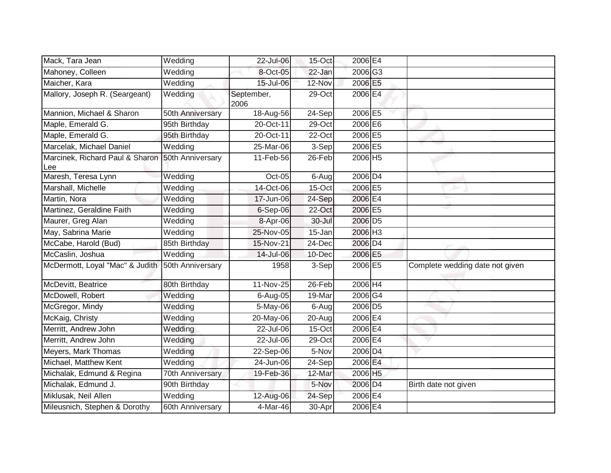| Mack, Tara Jean                        | Wedding          | 22-Jul-06          | 15-Oct | 2006 E4                         |                                 |
|----------------------------------------|------------------|--------------------|--------|---------------------------------|---------------------------------|
| Mahoney, Colleen                       | Wedding          | 8-Oct-05           | 22-Jan | 2006 G3                         |                                 |
| Maicher, Kara                          | Wedding          | 15-Jul-06          | 12-Nov | 2006 E5                         |                                 |
| Mallory, Joseph R. (Seargeant)         | Wedding          | September,<br>2006 | 29-Oct | 2006 E4                         |                                 |
| Mannion, Michael & Sharon              | 50th Anniversary | 18-Aug-56          | 24-Sep | 2006 E5                         |                                 |
| Maple, Emerald G.                      | 95th Birthday    | $20$ -Oct-11       | 29-Oct | 2006 E6                         |                                 |
| Maple, Emerald G.                      | 95th Birthday    | 20-Oct-11          | 22-Oct | 2006 E5                         |                                 |
| Marcelak, Michael Daniel               | Wedding          | 25-Mar-06          | 3-Sep  | 2006 E5                         |                                 |
| Marcinek, Richard Paul & Sharon<br>Lee | 50th Anniversary | 11-Feb-56          | 26-Feb | 2006 H5                         |                                 |
| Maresh, Teresa Lynn                    | Wedding          | Oct-05             | 6-Augl | 2006 D4                         |                                 |
| Marshall, Michelle                     | Wedding          | 14-Oct-06          | 15-Oct | 2006 E5                         |                                 |
| Martin, Nora                           | Wedding          | 17-Jun-06          | 24-Sep | $2006 \, \text{E} \overline{4}$ |                                 |
| Martinez, Geraldine Faith              | Wedding          | $6-$ Sep $-06$     | 22-Oct | 2006 E5                         |                                 |
| Maurer, Greg Alan                      | Wedding          | 8-Apr-06           | 30-Jul | 2006 D <sub>5</sub>             |                                 |
| May, Sabrina Marie                     | Wedding          | 25-Nov-05          | 15-Jan | 2006 H <sub>3</sub>             |                                 |
| McCabe, Harold (Bud)                   | 85th Birthday    | 15-Nov-21          | 24-Dec | 2006 D4                         |                                 |
| McCaslin, Joshua                       | Wedding          | 14-Jul-06          | 10-Dec | 2006 E5                         |                                 |
| McDermott, Loyal "Mac" & Judith        | 50th Anniversary | 1958               | 3-Sep  | 2006 E5                         | Complete wedding date not given |
| McDevitt, Beatrice                     | 80th Birthday    | 11-Nov-25          | 26-Feb | 2006 H4                         |                                 |
| McDowell, Robert                       | Wedding          | 6-Aug-05           | 19-Mar | 2006 G4                         |                                 |
| McGregor, Mindy                        | Wedding          | $5-May-06$         | 6-Augl | 2006 D5                         |                                 |
| McKaig, Christy                        | Wedding          | 20-May-06          | 20-Aug | 2006 E4                         |                                 |
| Merritt, Andrew John                   | Wedding          | 22-Jul-06          | 15-Oct | 2006 E4                         |                                 |
| Merritt, Andrew John                   | Wedding          | 22-Jul-06          | 29-Oct | 2006 E4                         |                                 |
| Meyers, Mark Thomas                    | Wedding          | 22-Sep-06          | 5-Nov  | 2006 D4                         |                                 |
| Michael, Matthew Kent                  | Wedding          | 24-Jun-06          | 24-Sep | 2006 E4                         |                                 |
| Michalak, Edmund & Regina              | 70th Anniversary | 19-Feb-36          | 12-Mar | 2006 H5                         |                                 |
| Michalak, Edmund J.                    | 90th Birthday    |                    | 5-Nov  | 2006 D <sub>4</sub>             | Birth date not given            |
| Miklusak, Neil Allen                   | Wedding          | 12-Aug-06          | 24-Sep | 2006 E4                         |                                 |
| Mileusnich, Stephen & Dorothy          | 60th Anniversary | $4-Mar-46$         | 30-Apr | 2006 E4                         |                                 |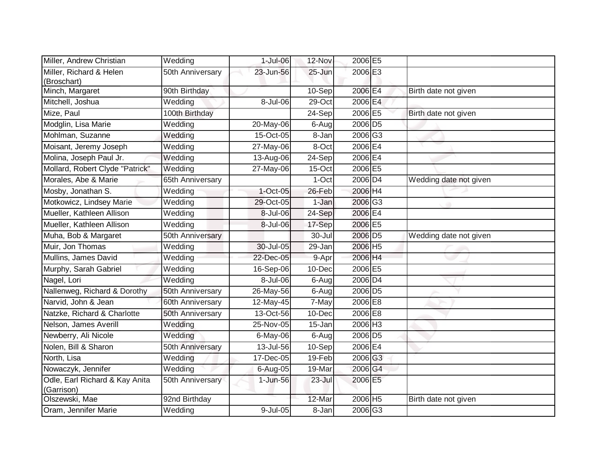| Miller, Andrew Christian                     | Wedding          | 1-Jul-06    | 12-Nov    | 2006 E5               |                        |
|----------------------------------------------|------------------|-------------|-----------|-----------------------|------------------------|
| Miller, Richard & Helen<br>(Broschart)       | 50th Anniversary | 23-Jun-56   | 25-Jun    | 2006 E3               |                        |
| Minch, Margaret                              | 90th Birthday    |             | 10-Sep    | 2006 E4               | Birth date not given   |
| Mitchell, Joshua                             | Wedding          | 8-Jul-06    | 29-Oct    | 2006 E4               |                        |
| Mize, Paul                                   | 100th Birthday   |             | $24-Sep$  | 2006 E5               | Birth date not given   |
| Modglin, Lisa Marie                          | Wedding          | 20-May-06   | 6-Aug     | 2006 D5               |                        |
| Mohlman, Suzanne                             | Wedding          | 15-Oct-05   | 8-Jan     | 2006 G3               |                        |
| Moisant, Jeremy Joseph                       | Wedding          | 27-May-06   | 8-Oct     | 2006 E4               |                        |
| Molina, Joseph Paul Jr.                      | Wedding          | 13-Aug-06   | 24-Sep    | 2006 E4               |                        |
| Mollard, Robert Clyde "Patrick"              | Wedding          | 27-May-06   | 15-Oct    | 2006 E5               |                        |
| Morales, Abe & Marie                         | 65th Anniversary |             | 1-Oct     | 2006 D <sub>4</sub>   | Wedding date not given |
| Mosby, Jonathan S.                           | Wedding          | $1-Oct-05$  | 26-Feb    | 2006 H4               |                        |
| Motkowicz, Lindsey Marie                     | Wedding          | 29-Oct-05   | 1-Jan     | 2006 G3               |                        |
| Mueller, Kathleen Allison                    | Wedding          | 8-Jul-06    | 24-Sep    | 2006 E4               |                        |
| Mueller, Kathleen Allison                    | Wedding          | 8-Jul-06    | 17-Sep    | 2006 E5               |                        |
| Muha, Bob & Margaret                         | 50th Anniversary |             | 30-Jul    | 2006 D <sub>5</sub>   | Wedding date not given |
| Muir, Jon Thomas                             | Wedding          | 30-Jul-05   | 29-Jan    | 2006 H5               |                        |
| Mullins, James David                         | Wedding          | 22-Dec-05   | 9-Apr     | 2006 H4               |                        |
| Murphy, Sarah Gabriel                        | Wedding          | 16-Sep-06   | 10-Dec    | 2006 E5               |                        |
| Nagel, Lori                                  | Wedding          | 8-Jul-06    | $6 - Aug$ | 2006 D4               |                        |
| Nallenweg, Richard & Dorothy                 | 50th Anniversary | 26-May-56   | 6-Aug     | 2006 D <sub>5</sub>   |                        |
| Narvid, John & Jean                          | 60th Anniversary | 12-May-45   | 7-May     | 2006 E8               |                        |
| Natzke, Richard & Charlotte                  | 50th Anniversary | 13-Oct-56   | 10-Dec    | 2006 E8               |                        |
| Nelson, James Averill                        | Wedding          | 25-Nov-05   | 15-Jan    | $2006$ H <sub>3</sub> |                        |
| Newberry, Ali Nicole                         | Wedding          | 6-May-06    | 6-Aug     | 2006 D5               |                        |
| Nolen, Bill & Sharon                         | 50th Anniversary | 13-Jul-56   | 10-Sep    | 2006E4                |                        |
| North, Lisa                                  | Wedding          | 17-Dec-05   | 19-Feb    | 2006 G3               |                        |
| Nowaczyk, Jennifer                           | Wedding          | 6-Aug-05    | 19-Mar    | 2006 G4               |                        |
| Odle, Earl Richard & Kay Anita<br>(Garrison) | 50th Anniversary | $1$ -Jun-56 | 23-Jul    | 2006 E5               |                        |
| Olszewski, Mae                               | 92nd Birthday    |             | 12-Mar    | 2006 H5               | Birth date not given   |
| Oram, Jennifer Marie                         | Wedding          | 9-Jul-05    | 8-Jan     | 2006 G3               |                        |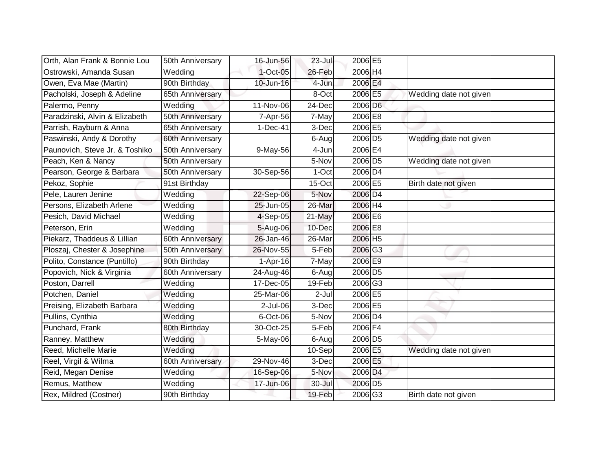| Orth, Alan Frank & Bonnie Lou  | 50th Anniversary | 16-Jun-56   | $23$ -Jul           | 2006 E5             |                        |
|--------------------------------|------------------|-------------|---------------------|---------------------|------------------------|
| Ostrowski, Amanda Susan        | Wedding          | $1$ -Oct-05 | 26-Feb              | 2006 H4             |                        |
| Owen, Eva Mae (Martin)         | 90th Birthday    | 10-Jun-16   | 4-Jun               | 2006 E4             |                        |
| Pacholski, Joseph & Adeline    | 65th Anniversary |             | 8-Oct               | 2006 E5             | Wedding date not given |
| Palermo, Penny                 | Wedding          | 11-Nov-06   | 24-Dec              | 2006 D6             |                        |
| Paradzinski, Alvin & Elizabeth | 50th Anniversary | 7-Apr-56    | 7-May               | 2006 E8             |                        |
| Parrish, Rayburn & Anna        | 65th Anniversary | $1-Dec-41$  | 3-Dec               | 2006 E5             |                        |
| Paswinski, Andy & Dorothy      | 60th Anniversary |             | 6-Aug               | 2006 D <sub>5</sub> | Wedding date not given |
| Paunovich, Steve Jr. & Toshiko | 50th Anniversary | 9-May-56    | 4-Jun               | 2006E4              |                        |
| Peach, Ken & Nancy             | 50th Anniversary |             | 5-Nov               | 2006 D <sub>5</sub> | Wedding date not given |
| Pearson, George & Barbara      | 50th Anniversary | 30-Sep-56   | 1-Oct               | 2006 D4             |                        |
| Pekoz, Sophie                  | 91st Birthday    |             | 15-Oct              | 2006 E5             | Birth date not given   |
| Pele, Lauren Jenine            | Wedding          | 22-Sep-06   | 5-Nov               | 2006 D4             |                        |
| Persons, Elizabeth Arlene      | Wedding          | 25-Jun-05   | 26-Mar              | 2006 H4             |                        |
| Pesich, David Michael          | Wedding          | 4-Sep-05    | 21-May              | 2006 E6             |                        |
| Peterson, Erin                 | Wedding          | 5-Aug-06    | 10-Dec              | 2006 E8             |                        |
| Piekarz, Thaddeus & Lillian    | 60th Anniversary | 26-Jan-46   | 26-Mar              | 2006 H5             |                        |
| Ploszaj, Chester & Josephine   | 50th Anniversary | 26-Nov-55   | $\overline{5}$ -Feb | 2006 G3             |                        |
| Polito, Constance (Puntillo)   | 90th Birthday    | $1-Apr-16$  | 7-May               | 2006 E9             |                        |
| Popovich, Nick & Virginia      | 60th Anniversary | 24-Aug-46   | 6-Augl              | 2006 D5             |                        |
| Poston, Darrell                | Wedding          | 17-Dec-05   | 19-Feb              | 2006 G3             |                        |
| Potchen, Daniel                | Wedding          | 25-Mar-06   | $2-Jul$             | 2006 E5             |                        |
| Preising, Elizabeth Barbara    | Wedding          | 2-Jul-06    | 3-Dec               | 2006 E5             |                        |
| Pullins, Cynthia               | Wedding          | 6-Oct-06    | 5-Nov               | 2006 D4             |                        |
| Punchard, Frank                | 80th Birthday    | 30-Oct-25   | 5-Feb               | 2006 F4             |                        |
| Ranney, Matthew                | Wedding          | 5-May-06    | 6-Aug               | 2006 D5             |                        |
| Reed, Michelle Marie           | Wedding          |             | $10-$ Sep           | 2006 E5             | Wedding date not given |
| Reel, Virgil & Wilma           | 60th Anniversary | 29-Nov-46   | 3-Dec               | 2006 E5             |                        |
| Reid, Megan Denise             | Wedding          | 16-Sep-06   | 5-Nov               | 2006 D4             |                        |
| Remus, Matthew                 | Wedding          | 17-Jun-06   | 30-Jul              | 2006 D5             |                        |
| Rex, Mildred (Costner)         | 90th Birthday    |             | 19-Feb              | 2006 G3             | Birth date not given   |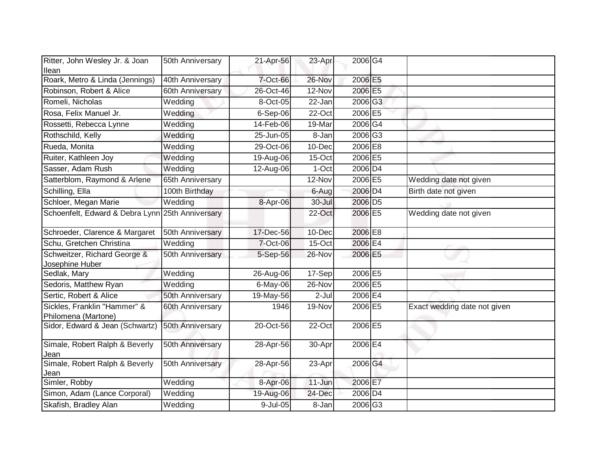| Ritter, John Wesley Jr. & Joan<br>llean             | 50th Anniversary | 21-Apr-56   | 23-Apr     | 2006G4              |                              |
|-----------------------------------------------------|------------------|-------------|------------|---------------------|------------------------------|
| Roark, Metro & Linda (Jennings)                     | 40th Anniversary | 7-Oct-66    | 26-Nov     | 2006 E5             |                              |
| Robinson, Robert & Alice                            | 60th Anniversary | 26-Oct-46   | 12-Nov     | 2006 E5             |                              |
| Romeli, Nicholas                                    | Wedding          | 8-Oct-05    | 22-Jan     | 2006 G3             |                              |
| Rosa, Felix Manuel Jr.                              | Wedding          | 6-Sep-06    | 22-Oct     | 2006 E5             |                              |
| Rossetti, Rebecca Lynne                             | Wedding          | 14-Feb-06   | 19-Mar     | 2006 G4             |                              |
| Rothschild, Kelly                                   | Wedding          | 25-Jun-05   | 8-Jan      | 2006 G3             |                              |
| Rueda, Monita                                       | Wedding          | 29-Oct-06   | 10-Dec     | 2006 E8             |                              |
| Ruiter, Kathleen Joy                                | Wedding          | 19-Aug-06   | 15-Oct     | 2006 E5             |                              |
| Sasser, Adam Rush                                   | Wedding          | 12-Aug-06   | $1-Oct$    | 2006 D4             |                              |
| Satterblom, Raymond & Arlene                        | 65th Anniversary |             | 12-Nov     | 2006 E5             | Wedding date not given       |
| Schilling, Ella                                     | 100th Birthday   |             | 6-Aug      | 2006 D4             | Birth date not given         |
| Schloer, Megan Marie                                | Wedding          | 8-Apr-06    | $30 -$ Jul | 2006 D <sub>5</sub> |                              |
| Schoenfelt, Edward & Debra Lynn                     | 25th Anniversary |             | 22-Oct     | 2006 E5             | Wedding date not given       |
| Schroeder, Clarence & Margaret                      | 50th Anniversary | 17-Dec-56   | 10-Dec     | 2006 E8             |                              |
| Schu, Gretchen Christina                            | Wedding          | 7-Oct-06    | 15-Oct     | 2006 E4             |                              |
| Schweitzer, Richard George &<br>Josephine Huber     | 50th Anniversary | 5-Sep-56    | 26-Nov     | 2006 E5             |                              |
| Sedlak, Mary                                        | Wedding          | 26-Aug-06   | 17-Sep     | 2006 E5             |                              |
| Sedoris, Matthew Ryan                               | Wedding          | $6$ -May-06 | 26-Nov     | 2006 E5             |                              |
| Sertic, Robert & Alice                              | 50th Anniversary | 19-May-56   | $2-Jul$    | 2006 E4             |                              |
| Sickles, Franklin "Hammer" &<br>Philomena (Martone) | 60th Anniversary | 1946        | 19-Nov     | 2006 E5             | Exact wedding date not given |
| Sidor, Edward & Jean (Schwartz)                     | 50th Anniversary | 20-Oct-56   | 22-Oct     | 2006 E5             |                              |
| Simale, Robert Ralph & Beverly<br>Jean              | 50th Anniversary | 28-Apr-56   | 30-Apr     | 2006 E4             |                              |
| Simale, Robert Ralph & Beverly<br>Jean              | 50th Anniversary | 28-Apr-56   | 23-Apr     | 2006 G4             |                              |
| Simler, Robby                                       | Wedding          | 8-Apr-06    | 11-Jun     | 2006 E7             |                              |
| Simon, Adam (Lance Corporal)                        | Wedding          | 19-Aug-06   | 24-Dec     | 2006 D4             |                              |
| Skafish, Bradley Alan                               | Wedding          | 9-Jul-05    | 8-Jan      | 2006 G3             |                              |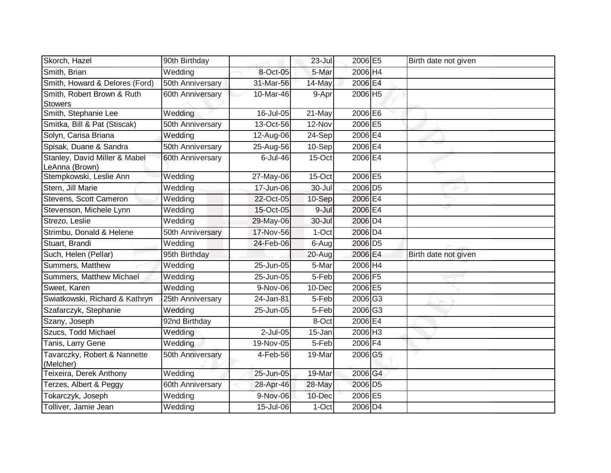| Skorch, Hazel                                   | 90th Birthday    |              | $23$ -Jul            | 2006 E5             | Birth date not given |
|-------------------------------------------------|------------------|--------------|----------------------|---------------------|----------------------|
| Smith, Brian                                    | Wedding          | 8-Oct-05     | 5-Mar                | 2006 H4             |                      |
| Smith, Howard & Delores (Ford)                  | 50th Anniversary | 31-Mar-56    | 14-May               | 2006 E4             |                      |
| Smith, Robert Brown & Ruth                      | 60th Anniversary | 10-Mar-46    | 9-Apr                | 2006 H5             |                      |
| <b>Stowers</b>                                  |                  |              |                      |                     |                      |
| Smith, Stephanie Lee                            | Wedding          | 16-Jul-05    | 21-May               | 2006 E6             |                      |
| Smitka, Bill & Pat (Stiscak)                    | 50th Anniversary | 13-Oct-56    | 12-Nov               | 2006 E5             |                      |
| Solyn, Carisa Briana                            | Wedding          | 12-Aug-06    | $\overline{24}$ -Sep | 2006 E4             |                      |
| Spisak, Duane & Sandra                          | 50th Anniversary | 25-Aug-56    | $10-Sep$             | 2006 E4             |                      |
| Stanley, David Miller & Mabel<br>LeAnna (Brown) | 60th Anniversary | 6-Jul-46     | $15$ -Oct            | 2006 E4             |                      |
| Stempkowski, Leslie Ann                         | Wedding          | 27-May-06    | 15-Oct               | 2006 E5             |                      |
| Stern, Jill Marie                               | Wedding          | 17-Jun-06    | 30-Jul               | 2006 D <sub>5</sub> |                      |
| Stevens, Scott Cameron                          | Wedding          | 22-Oct-05    | 10-Sep               | 2006 E4             |                      |
| Stevenson, Michele Lynn                         | Wedding          | 15-Oct-05    | 9-Jul                | 2006 E4             |                      |
| Strezo, Leslie                                  | Wedding          | 29-May-06    | 30-Jul               | 2006 D4             |                      |
| Strimbu, Donald & Helene                        | 50th Anniversary | 17-Nov-56    | 1-Oct                | 2006 D4             |                      |
| Stuart, Brandi                                  | Wedding          | 24-Feb-06    | $6-Aug$              | 2006 D <sub>5</sub> |                      |
| Such, Helen (Pellar)                            | 95th Birthday    |              | 20-Aug               | 2006 E4             | Birth date not given |
| Summers, Matthew                                | Wedding          | $25$ -Jun-05 | 5-Mar                | 2006 H4             |                      |
| Summers, Matthew Michael                        | Wedding          | 25-Jun-05    | 5-Feb                | 2006 F5             |                      |
| Sweet, Karen                                    | Wedding          | 9-Nov-06     | 10-Dec               | 2006 E5             |                      |
| Swiatkowski, Richard & Kathryn                  | 25th Anniversary | 24-Jan-81    | 5-Feb                | 2006 G3             |                      |
| Szafarczyk, Stephanie                           | Wedding          | 25-Jun-05    | 5-Feb                | 2006 G3             |                      |
| Szany, Joseph                                   | 92nd Birthday    |              | 8-Oct                | 2006 <b>E4</b>      |                      |
| Szucs, Todd Michael                             | Wedding          | $2$ -Jul-05  | 15-Jan               | 2006 H <sub>3</sub> |                      |
| Tanis, Larry Gene                               | Wedding          | 19-Nov-05    | 5-Feb                | 2006 F4             |                      |
| Tavarczky, Robert & Nannette<br>(Melcher)       | 50th Anniversary | 4-Feb-56     | 19-Mar               | 2006 G5             |                      |
| Teixeira, Derek Anthony                         | Wedding          | 25-Jun-05    | 19-Mar               | 2006 G4             |                      |
| Terzes, Albert & Peggy                          | 60th Anniversary | 28-Apr-46    | 28-May               | 2006 D5             |                      |
| Tokarczyk, Joseph                               | Wedding          | 9-Nov-06     | 10-Dec               | 2006 E5             |                      |
| Tolliver, Jamie Jean                            | Wedding          | 15-Jul-06    | 1-Oct                | 2006 D4             |                      |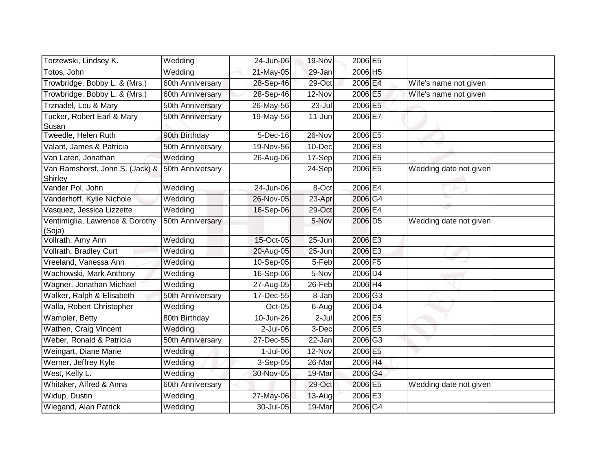| Torzewski, Lindsey K.                      | Wedding               | 24-Jun-06              | 19-Nov     | 2006 E5             |                        |
|--------------------------------------------|-----------------------|------------------------|------------|---------------------|------------------------|
| Totos, John                                | Wedding               | 21-May-05              | 29-Jan     | 2006 H5             |                        |
| Trowbridge, Bobby L. & (Mrs.)              | 60th Anniversary      | 28-Sep-46              | 29-Oct     | 2006 E4             | Wife's name not given  |
| Trowbridge, Bobby L. & (Mrs.)              | 60th Anniversary      | 28-Sep-46              | 12-Nov     | 2006 E5             | Wife's name not given  |
| Trznadel, Lou & Mary                       | 50th Anniversary      | 26-May-56              | $23 -$ Jul | 2006 E5             |                        |
| Tucker, Robert Earl & Mary<br>Susan        | 50th Anniversary      | 19-May-56              | 11-Jun     | 2006 E7             |                        |
| Tweedle, Helen Ruth                        | 90th Birthday         | $\overline{5}$ -Dec-16 | 26-Nov     | 2006 E5             |                        |
| Valant, James & Patricia                   | 50th Anniversary      | 19-Nov-56              | 10-Dec     | 2006 E8             |                        |
| Van Laten, Jonathan                        | Wedding               | 26-Aug-06              | 17-Sep     | 2006 E5             |                        |
| Van Ramshorst, John S. (Jack) &<br>Shirley | 50th Anniversary      |                        | 24-Sep     | 2006 E5             | Wedding date not given |
| Vander Pol, John                           | Wedding               | 24-Jun-06              | 8-Oct      | 2006 E4             |                        |
| Vanderhoff, Kylie Nichole                  | Wedding               | 26-Nov-05              | 23-Apr     | 2006 G4             |                        |
| Vasquez, Jessica Lizzette                  | Wedding               | 16-Sep-06              | 29-Oct     | 2006 E4             |                        |
| Ventimiglia, Lawrence & Dorothy<br>(Soja)  | 50th Anniversary      |                        | 5-Nov      | 2006 D <sub>5</sub> | Wedding date not given |
| Vollrath, Amy Ann                          | Wedding               | 15-Oct-05              | 25-Jun     | 2006 E3             |                        |
| Vollrath, Bradley Curt                     | Wedding               | 20-Aug-05              | $25 - Jun$ | 2006 E3             |                        |
| Vreeland, Vanessa Ann                      | Wedding               | 10-Sep-05              | 5-Feb      | 2006 F5             |                        |
| Wachowski, Mark Anthony                    | Wedding               | 16-Sep-06              | 5-Nov      | 2006 D <sub>4</sub> |                        |
| Wagner, Jonathan Michael                   | Wedding               | 27-Aug-05              | 26-Feb     | 2006 H4             |                        |
| Walker, Ralph & Elisabeth                  | 50th Anniversary      | $17 - Dec-55$          | 8-Jan      | 2006 G3             |                        |
| Walla, Robert Christopher                  | Wedding               | Oct-05                 | 6-Aug      | 2006 D4             |                        |
| Wampler, Betty                             | 80th Birthday         | 10-Jun-26              | 2-Jul      | 2006 E5             |                        |
| Wathen, Craig Vincent                      | Wedding               | $2$ -Jul-06            | 3-Dec      | 2006 E5             |                        |
| Weber, Ronald & Patricia                   | 50th Anniversary      | 27-Dec-55              | 22-Jan     | 2006G3              |                        |
| Weingart, Diane Marie                      | Wedding               | $1-Jul-06$             | 12-Nov     | 2006 E5             |                        |
| Werner, Jeffrey Kyle                       | Wedding               | 3-Sep-05               | 26-Mar     | 2006 H4             |                        |
| West, Kelly L.                             | Wedding               | 30-Nov-05              | 19-Mar     | 2006 G4             |                        |
| Whitaker, Alfred & Anna                    | 60th Anniversary      |                        | 29-Oct     | 2006 E5             | Wedding date not given |
| Widup, Dustin                              | Wedding               | 27-May-06              | 13-Aug     | 2006 E3             |                        |
| Wiegand, Alan Patrick                      | $\overline{W}$ edding | 30-Jul-05              | 19-Mar     | 2006 G4             |                        |